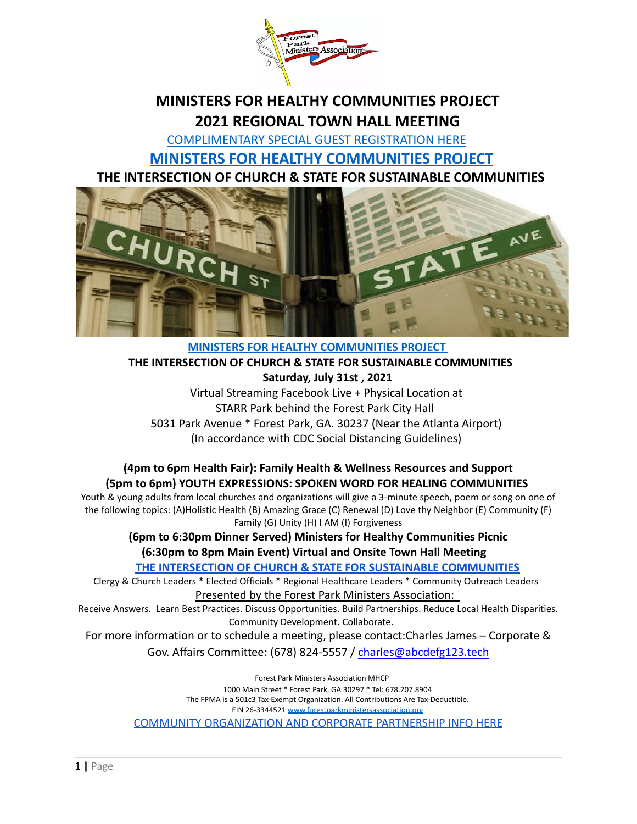

# **MINISTERS FOR HEALTHY COMMUNITIES PROJECT 2021 REGIONAL TOWN HALL MEETING**

[COMPLIMENTARY](https://www.eventbrite.com/e/ministers-for-healthy-communities-the-intersestion-of-church-state-tickets-148090828655) SPECIAL GUEST REGISTRATION HERE **MINISTERS FOR HEALTHY [COMMUNITIES](https://drive.google.com/file/d/1gxpTCPX3NdlAUOtsYgGvelVLUdnmfvLm/view?usp=sharing) PROJECT THE INTERSECTION OF CHURCH & STATE FOR SUSTAINABLE COMMUNITIES**



### **[MINISTERS FOR HEALTHY COMMUNITIES PROJECT](https://drive.google.com/file/d/1gxpTCPX3NdlAUOtsYgGvelVLUdnmfvLm/view?usp=sharing) THE INTERSECTION OF CHURCH & STATE FOR SUSTAINABLE COMMUNITIES Saturday, July 31st , 2021** Virtual Streaming Facebook Live + Physical Location at

STARR Park behind the Forest Park City Hall 5031 Park Avenue \* Forest Park, GA. 30237 (Near the Atlanta Airport) (In accordance with CDC Social Distancing Guidelines)

### **(4pm to 6pm Health Fair): Family Health & Wellness Resources and Support (5pm to 6pm) YOUTH EXPRESSIONS: SPOKEN WORD FOR HEALING COMMUNITIES**

Youth & young adults from local churches and organizations will give a 3-minute speech, poem or song on one of the following topics: (A)Holistic Health (B) Amazing Grace (C) Renewal (D) Love thy Neighbor (E) Community (F) Family (G) Unity (H) I AM (I) Forgiveness

# **(6pm to 6:30pm Dinner Served) Ministers for Healthy Communities Picnic (6:30pm to 8pm Main Event) Virtual and Onsite Town Hall Meeting**

**[THE INTERSECTION OF CHURCH & STATE FOR SUSTAINABLE](https://drive.google.com/file/d/130vBZ37X8LurGSvwnd5Ymnr3IhCKokt7/view?usp=sharing) COMMUNITIES**

Clergy & Church Leaders \* Elected Officials \* Regional Healthcare Leaders \* Community Outreach Leaders Presented by the Forest Park Ministers Association:

Receive Answers. Learn Best Practices. Discuss Opportunities. Build Partnerships. Reduce Local Health Disparities. Community Development. Collaborate.

For more information or to schedule a meeting, please contact:Charles James – Corporate & Gov. Affairs Committee: (678) 824-5557 / [charles@abcdefg123.tech](mailto:charles@abcdefg123.tech)

> Forest Park Ministers Association MHCP 1000 Main Street \* Forest Park, GA 30297 \* Tel: 678.207.8904 The FPMA is a 501c3 Tax-Exempt Organization. All Contributions Are Tax-Deductible. EIN 26-3344521 [www.forestparkministersassociation.org](http://www.forestparkministersassociation.org) [COMMUNITY ORGANIZATION AND CORPORATE PARTNERSHIP INFO](https://drive.google.com/file/d/1hGHjN5xTtbVYjPR_DQVoJGwStbzq-10o/view?usp=sharing) HERE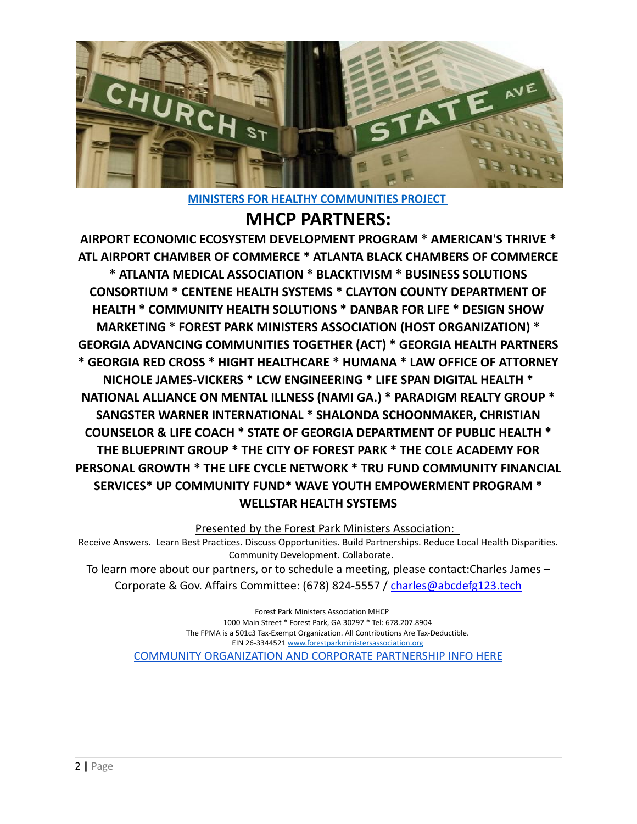

**[MINISTERS FOR HEALTHY COMMUNITIES PROJECT](https://drive.google.com/file/d/1gxpTCPX3NdlAUOtsYgGvelVLUdnmfvLm/view?usp=sharing)**

# **MHCP PARTNERS:**

**AIRPORT ECONOMIC ECOSYSTEM DEVELOPMENT PROGRAM \* AMERICAN'S THRIVE \* ATL AIRPORT CHAMBER OF COMMERCE \* ATLANTA BLACK CHAMBERS OF COMMERCE \* ATLANTA MEDICAL ASSOCIATION \* BLACKTIVISM \* BUSINESS SOLUTIONS CONSORTIUM \* CENTENE HEALTH SYSTEMS \* CLAYTON COUNTY DEPARTMENT OF HEALTH \* COMMUNITY HEALTH SOLUTIONS \* DANBAR FOR LIFE \* DESIGN SHOW MARKETING \* FOREST PARK MINISTERS ASSOCIATION (HOST ORGANIZATION) \* GEORGIA ADVANCING COMMUNITIES TOGETHER (ACT) \* GEORGIA HEALTH PARTNERS \* GEORGIA RED CROSS \* HIGHT HEALTHCARE \* HUMANA \* LAW OFFICE OF ATTORNEY NICHOLE JAMES-VICKERS \* LCW ENGINEERING \* LIFE SPAN DIGITAL HEALTH \* NATIONAL ALLIANCE ON MENTAL ILLNESS (NAMI GA.) \* PARADIGM REALTY GROUP \* SANGSTER WARNER INTERNATIONAL \* SHALONDA SCHOONMAKER, CHRISTIAN COUNSELOR & LIFE COACH \* STATE OF GEORGIA DEPARTMENT OF PUBLIC HEALTH \* THE BLUEPRINT GROUP \* THE CITY OF FOREST PARK \* THE COLE ACADEMY FOR PERSONAL GROWTH \* THE LIFE CYCLE NETWORK \* TRU FUND COMMUNITY FINANCIAL SERVICES\* UP COMMUNITY FUND\* WAVE YOUTH EMPOWERMENT PROGRAM \* WELLSTAR HEALTH SYSTEMS**

Presented by the Forest Park Ministers Association:

Receive Answers. Learn Best Practices. Discuss Opportunities. Build Partnerships. Reduce Local Health Disparities. Community Development. Collaborate.

To learn more about our partners, or to schedule a meeting, please contact:Charles James – Corporate & Gov. Affairs Committee: (678) 824-5557 / [charles@abcdefg123.tech](mailto:charles@abcdefg123.tech)

> Forest Park Ministers Association MHCP 1000 Main Street \* Forest Park, GA 30297 \* Tel: 678.207.8904 The FPMA is a 501c3 Tax-Exempt Organization. All Contributions Are Tax-Deductible. EIN 26-3344521 [www.forestparkministersassociation.org](http://www.forestparkministersassociation.org) [COMMUNITY ORGANIZATION AND CORPORATE PARTNERSHIP INFO](https://drive.google.com/file/d/1hGHjN5xTtbVYjPR_DQVoJGwStbzq-10o/view?usp=sharing) HERE